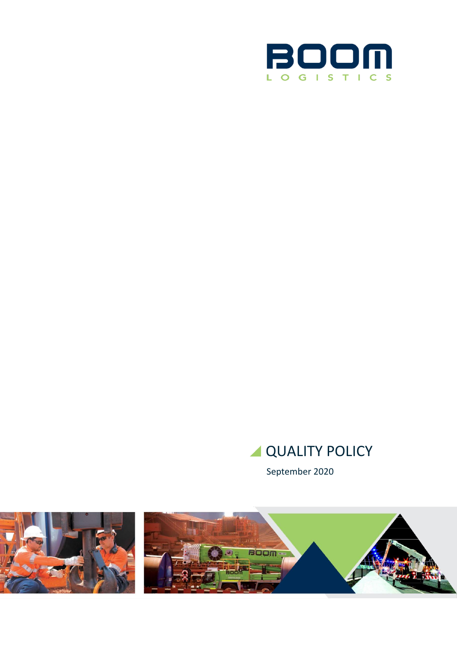

# **QUALITY POLICY**

September 2020